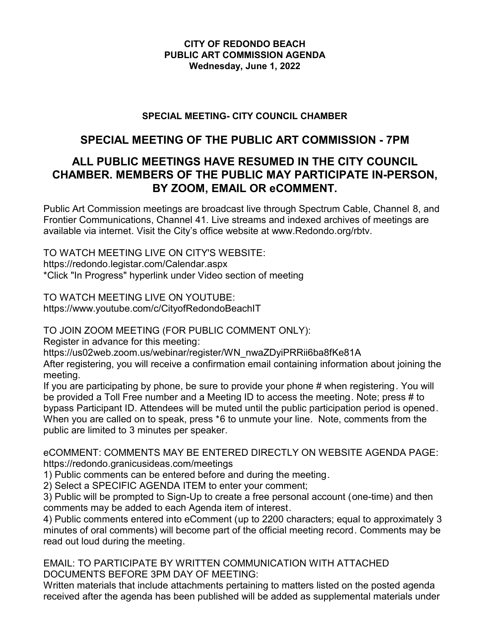## **CITY OF REDONDO BEACH PUBLIC ART COMMISSION AGENDA Wednesday, June 1, 2022**

## **SPECIAL MEETING- CITY COUNCIL CHAMBER**

# **SPECIAL MEETING OF THE PUBLIC ART COMMISSION - 7PM**

# **ALL PUBLIC MEETINGS HAVE RESUMED IN THE CITY COUNCIL CHAMBER. MEMBERS OF THE PUBLIC MAY PARTICIPATE IN-PERSON, BY ZOOM, EMAIL OR eCOMMENT.**

Public Art Commission meetings are broadcast live through Spectrum Cable, Channel 8, and Frontier Communications, Channel 41. Live streams and indexed archives of meetings are available via internet. Visit the City's office website at www.Redondo.org/rbtv.

TO WATCH MEETING LIVE ON CITY'S WEBSITE: https://redondo.legistar.com/Calendar.aspx \*Click "In Progress" hyperlink under Video section of meeting

TO WATCH MEETING LIVE ON YOUTUBE: https://www.youtube.com/c/CityofRedondoBeachIT

TO JOIN ZOOM MEETING (FOR PUBLIC COMMENT ONLY):

Register in advance for this meeting:

https://us02web.zoom.us/webinar/register/WN\_nwaZDyiPRRii6ba8fKe81A

After registering, you will receive a confirmation email containing information about joining the meeting.

If you are participating by phone, be sure to provide your phone # when registering. You will be provided a Toll Free number and a Meeting ID to access the meeting. Note; press # to bypass Participant ID. Attendees will be muted until the public participation period is opened. When you are called on to speak, press \*6 to unmute your line. Note, comments from the public are limited to 3 minutes per speaker.

eCOMMENT: COMMENTS MAY BE ENTERED DIRECTLY ON WEBSITE AGENDA PAGE: https://redondo.granicusideas.com/meetings

1) Public comments can be entered before and during the meeting.

2) Select a SPECIFIC AGENDA ITEM to enter your comment;

3) Public will be prompted to Sign-Up to create a free personal account (one-time) and then comments may be added to each Agenda item of interest.

4) Public comments entered into eComment (up to 2200 characters; equal to approximately 3 minutes of oral comments) will become part of the official meeting record. Comments may be read out loud during the meeting.

EMAIL: TO PARTICIPATE BY WRITTEN COMMUNICATION WITH ATTACHED DOCUMENTS BEFORE 3PM DAY OF MEETING:

Written materials that include attachments pertaining to matters listed on the posted agenda received after the agenda has been published will be added as supplemental materials under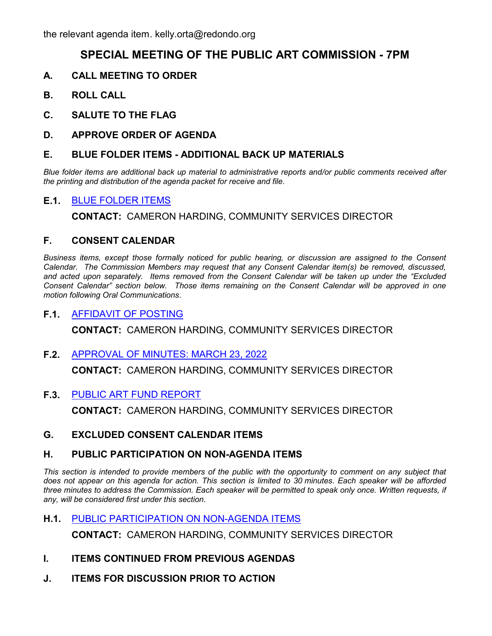# **SPECIAL MEETING OF THE PUBLIC ART COMMISSION - 7PM**

- **A. CALL MEETING TO ORDER**
- **B. ROLL CALL**
- **C. SALUTE TO THE FLAG**
- **D. APPROVE ORDER OF AGENDA**

#### **E. BLUE FOLDER ITEMS - ADDITIONAL BACK UP MATERIALS**

*Blue folder items are additional back up material to administrative reports and/or public comments received after the printing and distribution of the agenda packet for receive and file.*

## **E.1.** [BLUE FOLDER ITEMS](http://redondo.legistar.com/gateway.aspx?m=l&id=/matter.aspx?key=5730)

**CONTACT:** CAMERON HARDING, COMMUNITY SERVICES DIRECTOR

#### **F. CONSENT CALENDAR**

*Business items, except those formally noticed for public hearing, or discussion are assigned to the Consent Calendar. The Commission Members may request that any Consent Calendar item(s) be removed, discussed, and acted upon separately. Items removed from the Consent Calendar will be taken up under the "Excluded Consent Calendar" section below. Those items remaining on the Consent Calendar will be approved in one motion following Oral Communications.*

## **F.1.** [AFFIDAVIT OF POSTING](http://redondo.legistar.com/gateway.aspx?m=l&id=/matter.aspx?key=5732)

**CONTACT:** CAMERON HARDING, COMMUNITY SERVICES DIRECTOR

#### **F.2.** [APPROVAL OF MINUTES: MARCH 23, 2022](http://redondo.legistar.com/gateway.aspx?m=l&id=/matter.aspx?key=5733)

**CONTACT:** CAMERON HARDING, COMMUNITY SERVICES DIRECTOR

**F.3.** [PUBLIC ART FUND REPORT](http://redondo.legistar.com/gateway.aspx?m=l&id=/matter.aspx?key=5735)

**CONTACT:** CAMERON HARDING, COMMUNITY SERVICES DIRECTOR

**G. EXCLUDED CONSENT CALENDAR ITEMS**

#### **H. PUBLIC PARTICIPATION ON NON-AGENDA ITEMS**

This section is intended to provide members of the public with the opportunity to comment on any subject that *does not appear on this agenda for action. This section is limited to 30 minutes. Each speaker will be afforded three minutes to address the Commission. Each speaker will be permitted to speak only once. Written requests, if any, will be considered first under this section.*

**H.1.** [PUBLIC PARTICIPATION ON NON-AGENDA ITEMS](http://redondo.legistar.com/gateway.aspx?m=l&id=/matter.aspx?key=5742)

**CONTACT:** CAMERON HARDING, COMMUNITY SERVICES DIRECTOR

- **I. ITEMS CONTINUED FROM PREVIOUS AGENDAS**
- **J. ITEMS FOR DISCUSSION PRIOR TO ACTION**